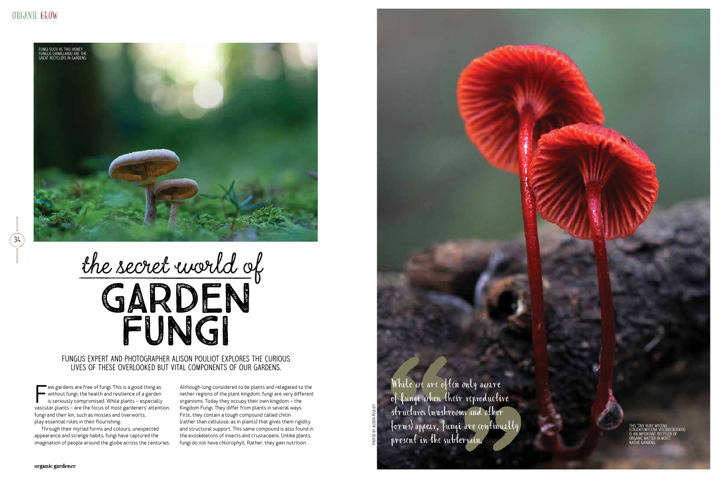PHOTOS BY ALISON POULIOT

Few gardens are free of fungi. This is a good thing as<br>without fungi, the health and resilience of a garden<br>is seriously compromised. While plants – especially<br>vascular plants – are the focus of most gardeners' attention, ew gardens are free of fungi. This is a good thing as without fungi, the health and resilience of a garden is seriously compromised. While plants – especially fungi and their kin, such as mosses and liverworts, play essential roles in their flourishing.

Through their myriad forms and colours, unexpected appearance and strange habits, fungi have captured the imagination of people around the globe across the centuries.

# the secret world of GARDEN FUNGI

While we are often only aware of fungi when their reproductive structures (mushrooms and other forms) appear, fungi are continually present in the subterrain.

Although long considered to be plants and relegated to the nether regions of the plant kingdom, fungi are very different organisms. Today they occupy their own kingdom – the Kingdom Fungi. They differ from plants in several ways. First, they contain a tough compound called chitin (rather than cellulose, as in plants) that gives them rigidity and structural support. This same compound is also found in the exoskeletons of insects and crustaceans. Unlike plants, fungi do not have chlorophyll. Rather, they gain nutrition



### Fungus expert and photographer Alison Pouliot explores the curious lives of these overlooked but vital components of our gardens.

This tiny ruby mycena (Cruentomycena viscidocruenta) is an important recycler of organic matter in moist native gardens.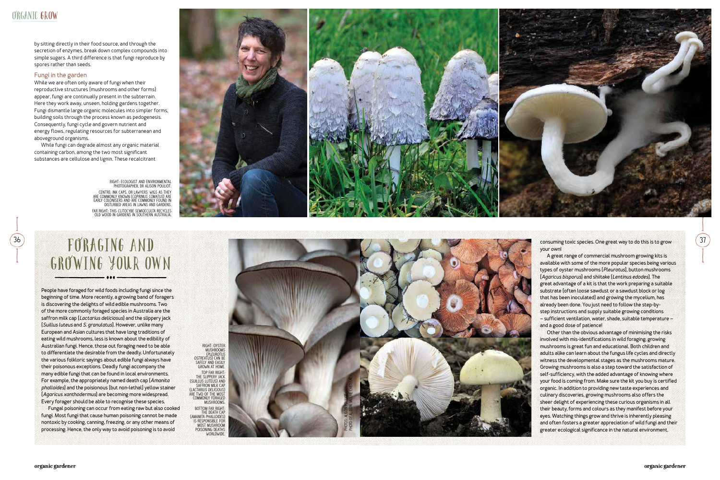

by sitting directly in their food source, and through the secretion of enzymes, break down complex compounds into simple sugars. A third difference is that fungi reproduce by spores rather than seeds.

### **Fungi in the garden**

While we are often only aware of fungi when their reproductive structures (mushrooms and other forms) appear, fungi are continually present in the subterrain. Here they work away, unseen, holding gardens together. Fungi dismantle large organic molecules into simpler forms, building soils through the process known as pedogenesis. Consequently, fungi cycle and govern nutrient and energy flows, regulating resources for subterranean and aboveground organisms.

While fungi can degrade almost any organic material containing carbon, among the two most significant substances are cellulose and lignin. These recalcitrant

## FORAGING AND GROWING YOUR OWN

**People have foraged for wild foods including fungi since the beginning of time. More recently, a growing band of foragers is discovering the delights of wild edible mushrooms. Two of the more commonly foraged species in Australia are the saffron milk cap (***Lactarius deliciosus***) and the slippery jack (***Suillus luteus* **and** *S. granulatus***). However, unlike many European and Asian cultures that have long traditions of eating wild mushrooms, less is known about the edibility of Australian fungi. Hence, those out foraging need to be able to differentiate the desirable from the deadly. Unfortunately the various folkloric sayings about edible fungi always have their poisonous exceptions. Deadly fungi accompany the many edible fungi that can be found in local environments. For example, the appropriately named death cap (***Amanita phalloides***) and the poisionous (but non-lethal) yellow stainer (***Agaricus xanthodermus***) are becoming more widespread. Every forager should be able to recognise these species.**

**Fungal poisoning can occur from eating raw but also cooked fungi. Most fungi that cause human poisoning cannot be made nontoxic by cooking, canning, freezing, or any other means of processing. Hence, the only way to avoid poisoning is to avoid** 

**your own!**



**A great range of commercial mushroom growing kits is available with some of the more popular species being various types of oyster mushrooms (***Pleurotus***), button mushrooms (***Agaricus bisporus***) and shiitake (***Lentinus edodes***). The great advantage of a kit is that the work preparing a suitable substrate (often loose sawdust or a sawdust block or log that has been inoculated) and growing the mycelium, has already been done. You just need to follow the step-bystep instructions and supply suitable growing conditions – sufficient ventilation, water, shade, suitable temperature – and a good dose of patience!** 

**Other than the obvious advantage of minimising the risks involved with mis-identifications in wild foraging, growing mushrooms is great fun and educational. Both children and adults alike can learn about the fungus life cycles and directly witness the developmental stages as the mushrooms mature. Growing mushrooms is also a step toward the satisfaction of self-sufficiency, with the added advantage of knowing where your food is coming from. Make sure the kit you buy is certified organic. In addition to providing new taste experiences and culinary discoveries, growing mushrooms also offers the sheer delight of experiencing these curious organisms in all their beauty, forms and colours as they manifest before your eyes. Watching things grow and thrive is inherently pleasing and often fosters a greater appreciation of wild fungi and their greater ecological significance in the natural environment.**

right: Ecologist and environmental photographer, Dr Alison Pouliot. centre: Ink caps, or lawyers' wigs as they are commonly known (Coprinus comatus) are early colonisers and are commonly found in disturbed areas in lawns and gardens. far right: This Clitocybe semiocculta recycles old wood in gardens in Southern Australia.